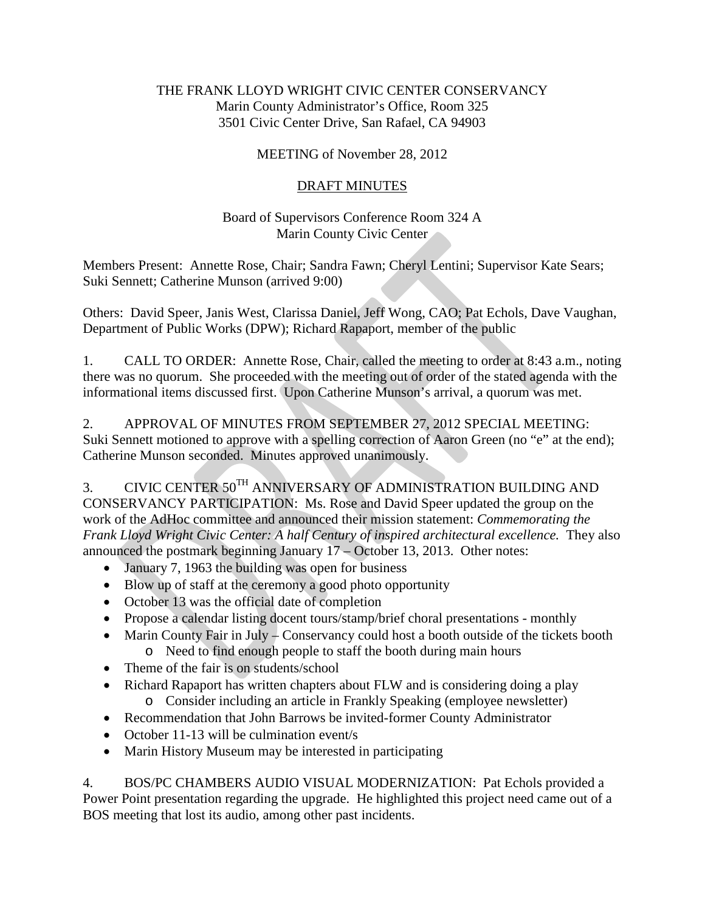## THE FRANK LLOYD WRIGHT CIVIC CENTER CONSERVANCY Marin County Administrator's Office, Room 325 3501 Civic Center Drive, San Rafael, CA 94903

## MEETING of November 28, 2012

## DRAFT MINUTES

## Board of Supervisors Conference Room 324 A Marin County Civic Center

Members Present: Annette Rose, Chair; Sandra Fawn; Cheryl Lentini; Supervisor Kate Sears; Suki Sennett; Catherine Munson (arrived 9:00)

Others: David Speer, Janis West, Clarissa Daniel, Jeff Wong, CAO; Pat Echols, Dave Vaughan, Department of Public Works (DPW); Richard Rapaport, member of the public

1. CALL TO ORDER: Annette Rose, Chair, called the meeting to order at 8:43 a.m., noting there was no quorum. She proceeded with the meeting out of order of the stated agenda with the informational items discussed first. Upon Catherine Munson's arrival, a quorum was met.

2. APPROVAL OF MINUTES FROM SEPTEMBER 27, 2012 SPECIAL MEETING: Suki Sennett motioned to approve with a spelling correction of Aaron Green (no "e" at the end); Catherine Munson seconded. Minutes approved unanimously.

3. CIVIC CENTER 50<sup>TH</sup> ANNIVERSARY OF ADMINISTRATION BUILDING AND CONSERVANCY PARTICIPATION: Ms. Rose and David Speer updated the group on the work of the AdHoc committee and announced their mission statement: *Commemorating the Frank Lloyd Wright Civic Center: A half Century of inspired architectural excellence.* They also announced the postmark beginning January 17 – October 13, 2013. Other notes:

- January 7, 1963 the building was open for business
- Blow up of staff at the ceremony a good photo opportunity
- October 13 was the official date of completion
- Propose a calendar listing docent tours/stamp/brief choral presentations monthly
- Marin County Fair in July Conservancy could host a booth outside of the tickets booth
	- o Need to find enough people to staff the booth during main hours
- Theme of the fair is on students/school
- Richard Rapaport has written chapters about FLW and is considering doing a play
	- o Consider including an article in Frankly Speaking (employee newsletter)
- Recommendation that John Barrows be invited-former County Administrator
- October 11-13 will be culmination event/s
- Marin History Museum may be interested in participating

4. BOS/PC CHAMBERS AUDIO VISUAL MODERNIZATION: Pat Echols provided a Power Point presentation regarding the upgrade. He highlighted this project need came out of a BOS meeting that lost its audio, among other past incidents.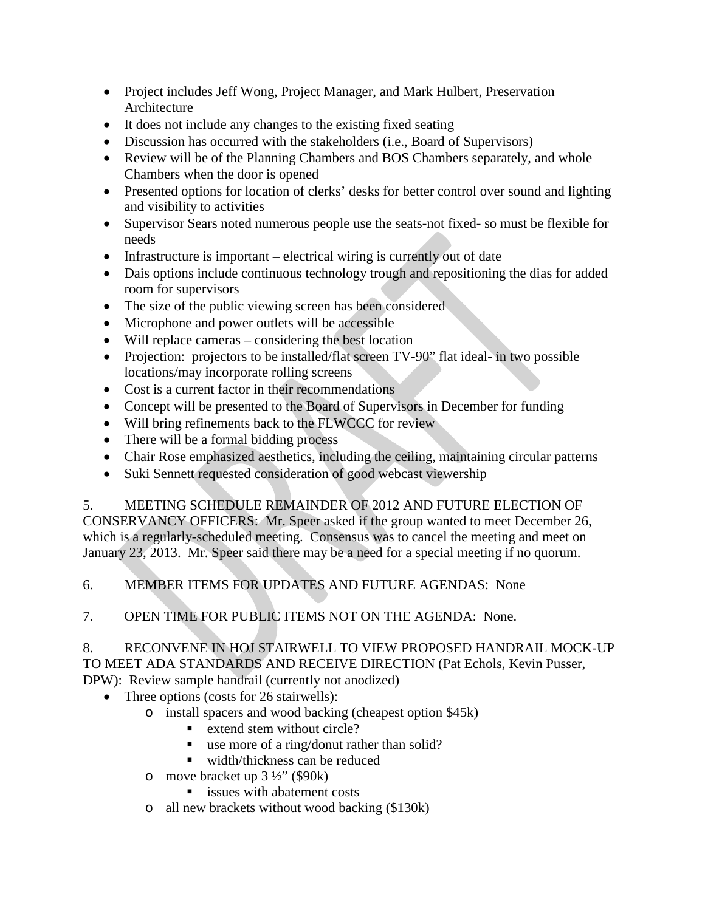- Project includes Jeff Wong, Project Manager, and Mark Hulbert, Preservation Architecture
- It does not include any changes to the existing fixed seating
- Discussion has occurred with the stakeholders (i.e., Board of Supervisors)
- Review will be of the Planning Chambers and BOS Chambers separately, and whole Chambers when the door is opened
- Presented options for location of clerks' desks for better control over sound and lighting and visibility to activities
- Supervisor Sears noted numerous people use the seats-not fixed- so must be flexible for needs
- Infrastructure is important electrical wiring is currently out of date
- Dais options include continuous technology trough and repositioning the dias for added room for supervisors
- The size of the public viewing screen has been considered
- Microphone and power outlets will be accessible
- Will replace cameras considering the best location
- Projection: projectors to be installed/flat screen TV-90" flat ideal- in two possible locations/may incorporate rolling screens
- Cost is a current factor in their recommendations
- Concept will be presented to the Board of Supervisors in December for funding
- Will bring refinements back to the FLWCCC for review
- There will be a formal bidding process
- Chair Rose emphasized aesthetics, including the ceiling, maintaining circular patterns
- Suki Sennett requested consideration of good webcast viewership

5. MEETING SCHEDULE REMAINDER OF 2012 AND FUTURE ELECTION OF CONSERVANCY OFFICERS: Mr. Speer asked if the group wanted to meet December 26, which is a regularly-scheduled meeting. Consensus was to cancel the meeting and meet on January 23, 2013. Mr. Speer said there may be a need for a special meeting if no quorum.

6. MEMBER ITEMS FOR UPDATES AND FUTURE AGENDAS: None

7. OPEN TIME FOR PUBLIC ITEMS NOT ON THE AGENDA: None.

8. RECONVENE IN HOJ STAIRWELL TO VIEW PROPOSED HANDRAIL MOCK-UP TO MEET ADA STANDARDS AND RECEIVE DIRECTION (Pat Echols, Kevin Pusser, DPW): Review sample handrail (currently not anodized)

- Three options (costs for 26 stairwells):
	- o install spacers and wood backing (cheapest option \$45k)
		- extend stem without circle?
		- use more of a ring/donut rather than solid?
		- width/thickness can be reduced
		- o move bracket up  $3\frac{1}{2}$ " (\$90k)
			- issues with abatement costs
		- o all new brackets without wood backing (\$130k)